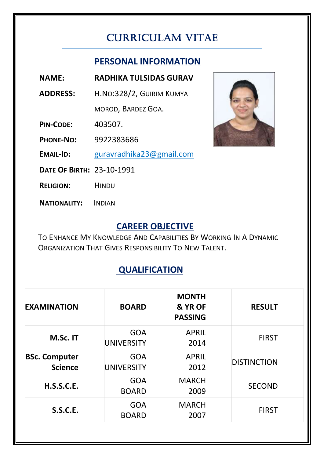# CURRICULAM VITAE

### **PERSONAL INFORMATION**

- **NAME: RADHIKA TULSIDAS GURAV**
- **ADDRESS:** H.NO:328/2, GUIRIM KUMYA

MOROD, BARDEZ GOA.

**PIN-CODE:** 403507.

**PHONE-NO:** 9922383686

**EMAIL-ID:** guravradhika23@gmail.com

**DATE OF BIRTH:** 23-10-1991

**RELIGION:** HINDU

**NATIONALITY:** INDIAN

#### **CAREER OBJECTIVE**

TO ENHANCE MY KNOWLEDGE AND CAPABILITIES BY WORKING IN A DYNAMIC ORGANIZATION THAT GIVES RESPONSIBILITY TO NEW TALENT.

## **QUALIFICATION**

| <b>EXAMINATION</b>                     | <b>BOARD</b>                    | <b>MONTH</b><br>& YR OF<br><b>PASSING</b> | <b>RESULT</b>      |
|----------------------------------------|---------------------------------|-------------------------------------------|--------------------|
| M.Sc. IT                               | <b>GOA</b><br><b>UNIVERSITY</b> | <b>APRIL</b><br>2014                      | <b>FIRST</b>       |
| <b>BSc. Computer</b><br><b>Science</b> | <b>GOA</b><br><b>UNIVERSITY</b> | <b>APRIL</b><br>2012                      | <b>DISTINCTION</b> |
| <b>H.S.S.C.E.</b>                      | <b>GOA</b><br><b>BOARD</b>      | <b>MARCH</b><br>2009                      | <b>SECOND</b>      |
| <b>S.S.C.E.</b>                        | <b>GOA</b><br><b>BOARD</b>      | <b>MARCH</b><br>2007                      | <b>FIRST</b>       |

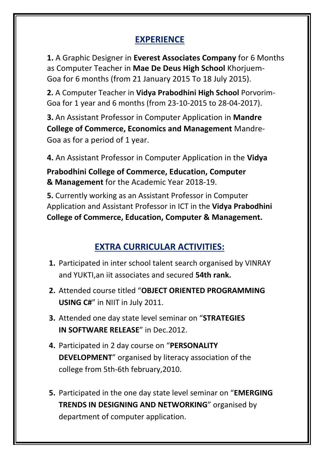### **EXPERIENCE**

**1.** A Graphic Designer in **Everest Associates Company** for 6 Months as Computer Teacher in **Mae De Deus High School** Khorjuem-Goa for 6 months (from 21 January 2015 To 18 July 2015).

**2.** A Computer Teacher in **Vidya Prabodhini High School** Porvorim-Goa for 1 year and 6 months (from 23-10-2015 to 28-04-2017).

**3.** An Assistant Professor in Computer Application in **Mandre College of Commerce, Economics and Management** Mandre-Goa as for a period of 1 year.

**4.** An Assistant Professor in Computer Application in the **Vidya**

**Prabodhini College of Commerce, Education, Computer & Management** for the Academic Year 2018-19.

**5.** Currently working as an Assistant Professor in Computer Application and Assistant Professor in ICT in the **Vidya Prabodhini College of Commerce, Education, Computer & Management.**

### **EXTRA CURRICULAR ACTIVITIES:**

- **1.** Participated in inter school talent search organised by VINRAY and YUKTI,an iit associates and secured **54th rank.**
- **2.** Attended course titled "**OBJECT ORIENTED PROGRAMMING USING C#**" in NIIT in July 2011.
- **3.** Attended one day state level seminar on "**STRATEGIES IN SOFTWARE RELEASE"** in Dec. 2012.
- **4.** Participated in 2 day course on "**PERSONALITY DEVELOPMENT**" organised by literacy association of the college from 5th-6th february,2010.
- **5.** Participated in the one day state level seminar on "**EMERGING TRENDS IN DESIGNING AND NETWORKING**" organised by department of computer application.